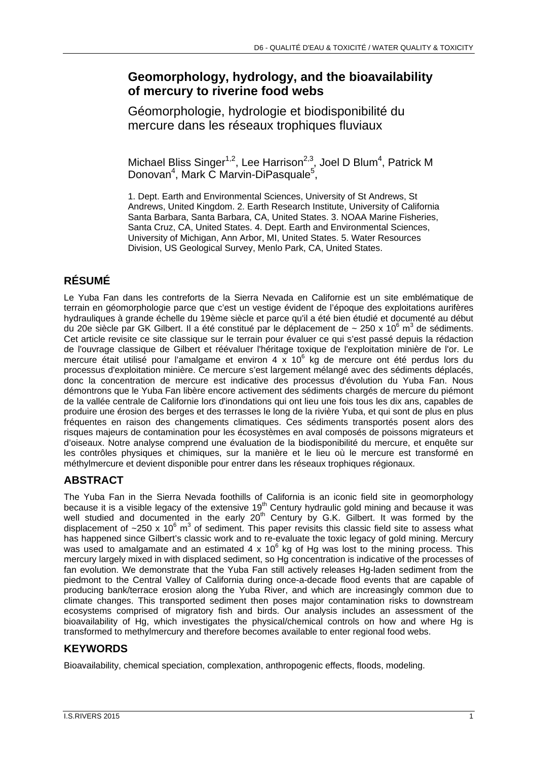### **Geomorphology, hydrology, and the bioavailability of mercury to riverine food webs**

Géomorphologie, hydrologie et biodisponibilité du mercure dans les réseaux trophiques fluviaux

Michael Bliss Singer<sup>1,2</sup>, Lee Harrison<sup>2,3</sup>, Joel D Blum<sup>4</sup>, Patrick M Donovan<sup>4</sup>, Mark C Marvin-DiPasquale<sup>5</sup>,

1. Dept. Earth and Environmental Sciences, University of St Andrews, St Andrews, United Kingdom. 2. Earth Research Institute, University of California Santa Barbara, Santa Barbara, CA, United States. 3. NOAA Marine Fisheries, Santa Cruz, CA, United States. 4. Dept. Earth and Environmental Sciences, University of Michigan, Ann Arbor, MI, United States. 5. Water Resources Division, US Geological Survey, Menlo Park, CA, United States.

# **RÉSUMÉ**

Le Yuba Fan dans les contreforts de la Sierra Nevada en Californie est un site emblématique de terrain en géomorphologie parce que c'est un vestige évident de l'époque des exploitations aurifères hydrauliques à grande échelle du 19ème siècle et parce qu'il a été bien étudié et documenté au début du 20e siècle par GK Gilbert. Il a été constitué par le déplacement de ~ 250 x 10<sup>6</sup> m<sup>3</sup> de sédiments. Cet article revisite ce site classique sur le terrain pour évaluer ce qui s'est passé depuis la rédaction de l'ouvrage classique de Gilbert et réévaluer l'héritage toxique de l'exploitation minière de l'or. Le mercure était utilisé pour l'amalgame et environ 4 x 10<sup>6</sup> kg de mercure ont été perdus lors du processus d'exploitation minière. Ce mercure s'est largement mélangé avec des sédiments déplacés, donc la concentration de mercure est indicative des processus d'évolution du Yuba Fan. Nous démontrons que le Yuba Fan libère encore activement des sédiments chargés de mercure du piémont de la vallée centrale de Californie lors d'inondations qui ont lieu une fois tous les dix ans, capables de produire une érosion des berges et des terrasses le long de la rivière Yuba, et qui sont de plus en plus fréquentes en raison des changements climatiques. Ces sédiments transportés posent alors des risques majeurs de contamination pour les écosystèmes en aval composés de poissons migrateurs et d'oiseaux. Notre analyse comprend une évaluation de la biodisponibilité du mercure, et enquête sur les contrôles physiques et chimiques, sur la manière et le lieu où le mercure est transformé en méthylmercure et devient disponible pour entrer dans les réseaux trophiques régionaux.

## **ABSTRACT**

The Yuba Fan in the Sierra Nevada foothills of California is an iconic field site in geomorphology because it is a visible legacy of the extensive 19<sup>th</sup> Century hydraulic gold mining and because it was well studied and documented in the early  $20<sup>th</sup>$  Century by G.K. Gilbert. It was formed by the displacement of  $\sim$ 250 x 10<sup>6</sup> m<sup>3</sup> of sediment. This paper revisits this classic field site to assess what has happened since Gilbert's classic work and to re-evaluate the toxic legacy of gold mining. Mercury was used to amalgamate and an estimated 4 x 10 $^6$  kg of Hg was lost to the mining process. This mercury largely mixed in with displaced sediment, so Hg concentration is indicative of the processes of fan evolution. We demonstrate that the Yuba Fan still actively releases Hg-laden sediment from the piedmont to the Central Valley of California during once-a-decade flood events that are capable of producing bank/terrace erosion along the Yuba River, and which are increasingly common due to climate changes. This transported sediment then poses major contamination risks to downstream ecosystems comprised of migratory fish and birds. Our analysis includes an assessment of the bioavailability of Hg, which investigates the physical/chemical controls on how and where Hg is transformed to methylmercury and therefore becomes available to enter regional food webs.

### **KEYWORDS**

Bioavailability, chemical speciation, complexation, anthropogenic effects, floods, modeling.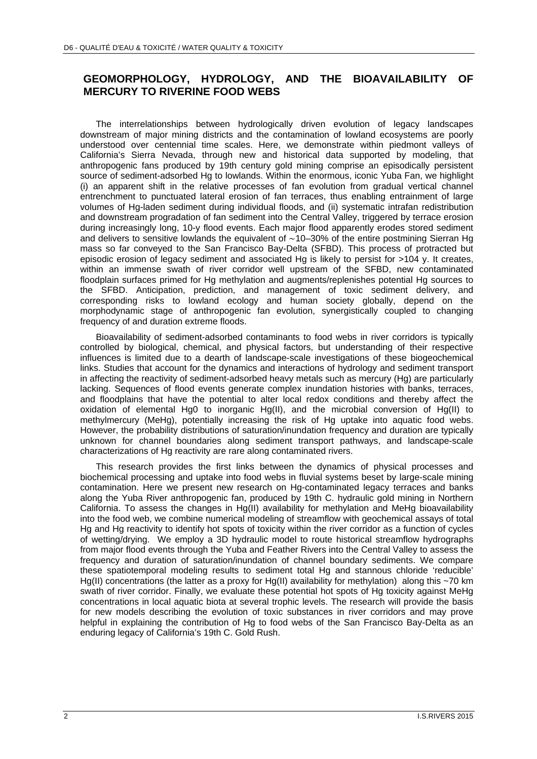#### **GEOMORPHOLOGY, HYDROLOGY, AND THE BIOAVAILABILITY OF MERCURY TO RIVERINE FOOD WEBS**

The interrelationships between hydrologically driven evolution of legacy landscapes downstream of major mining districts and the contamination of lowland ecosystems are poorly understood over centennial time scales. Here, we demonstrate within piedmont valleys of California's Sierra Nevada, through new and historical data supported by modeling, that anthropogenic fans produced by 19th century gold mining comprise an episodically persistent source of sediment-adsorbed Hg to lowlands. Within the enormous, iconic Yuba Fan, we highlight (i) an apparent shift in the relative processes of fan evolution from gradual vertical channel entrenchment to punctuated lateral erosion of fan terraces, thus enabling entrainment of large volumes of Hg-laden sediment during individual floods, and (ii) systematic intrafan redistribution and downstream progradation of fan sediment into the Central Valley, triggered by terrace erosion during increasingly long, 10-y flood events. Each major flood apparently erodes stored sediment and delivers to sensitive lowlands the equivalent of ~10–30% of the entire postmining Sierran Hg mass so far conveyed to the San Francisco Bay-Delta (SFBD). This process of protracted but episodic erosion of legacy sediment and associated Hg is likely to persist for >104 y. It creates, within an immense swath of river corridor well upstream of the SFBD, new contaminated floodplain surfaces primed for Hg methylation and augments/replenishes potential Hg sources to the SFBD. Anticipation, prediction, and management of toxic sediment delivery, and corresponding risks to lowland ecology and human society globally, depend on the morphodynamic stage of anthropogenic fan evolution, synergistically coupled to changing frequency of and duration extreme floods.

Bioavailability of sediment-adsorbed contaminants to food webs in river corridors is typically controlled by biological, chemical, and physical factors, but understanding of their respective influences is limited due to a dearth of landscape-scale investigations of these biogeochemical links. Studies that account for the dynamics and interactions of hydrology and sediment transport in affecting the reactivity of sediment-adsorbed heavy metals such as mercury (Hg) are particularly lacking. Sequences of flood events generate complex inundation histories with banks, terraces, and floodplains that have the potential to alter local redox conditions and thereby affect the oxidation of elemental Hg0 to inorganic Hg(II), and the microbial conversion of Hg(II) to methylmercury (MeHg), potentially increasing the risk of Hg uptake into aquatic food webs. However, the probability distributions of saturation/inundation frequency and duration are typically unknown for channel boundaries along sediment transport pathways, and landscape-scale characterizations of Hg reactivity are rare along contaminated rivers.

This research provides the first links between the dynamics of physical processes and biochemical processing and uptake into food webs in fluvial systems beset by large-scale mining contamination. Here we present new research on Hg-contaminated legacy terraces and banks along the Yuba River anthropogenic fan, produced by 19th C. hydraulic gold mining in Northern California. To assess the changes in Hg(II) availability for methylation and MeHg bioavailability into the food web, we combine numerical modeling of streamflow with geochemical assays of total Hg and Hg reactivity to identify hot spots of toxicity within the river corridor as a function of cycles of wetting/drying. We employ a 3D hydraulic model to route historical streamflow hydrographs from major flood events through the Yuba and Feather Rivers into the Central Valley to assess the frequency and duration of saturation/inundation of channel boundary sediments. We compare these spatiotemporal modeling results to sediment total Hg and stannous chloride 'reducible' Hg(II) concentrations (the latter as a proxy for Hg(II) availability for methylation) along this ~70 km swath of river corridor. Finally, we evaluate these potential hot spots of Hg toxicity against MeHg concentrations in local aquatic biota at several trophic levels. The research will provide the basis for new models describing the evolution of toxic substances in river corridors and may prove helpful in explaining the contribution of Hg to food webs of the San Francisco Bay-Delta as an enduring legacy of California's 19th C. Gold Rush.